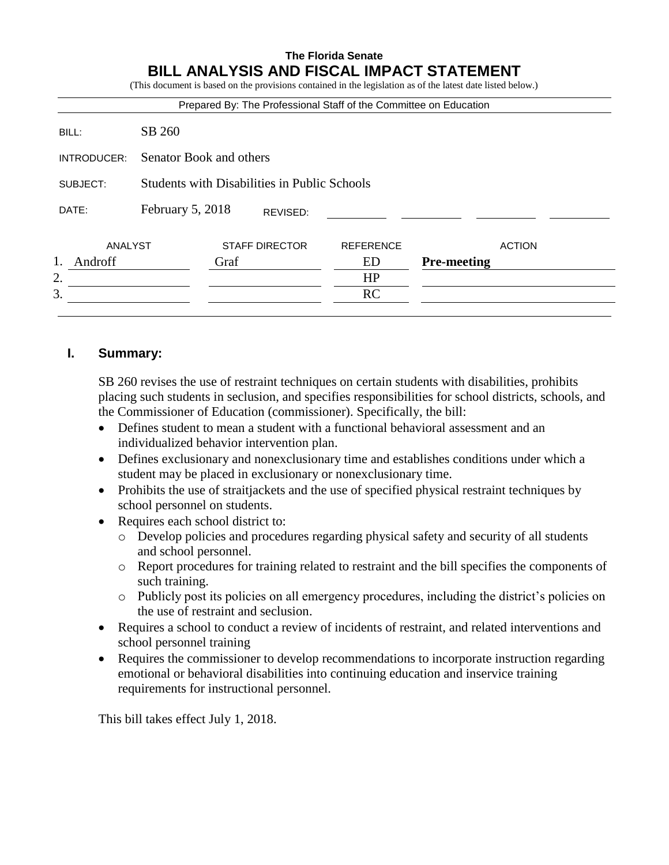# **The Florida Senate BILL ANALYSIS AND FISCAL IMPACT STATEMENT**

(This document is based on the provisions contained in the legislation as of the latest date listed below.) Prepared By: The Professional Staff of the Committee on Education BILL: SB 260 INTRODUCER: Senator Book and others SUBJECT: Students with Disabilities in Public Schools DATE: February 5, 2018 ANALYST STAFF DIRECTOR REFERENCE ACTION 1. Androff Graf ED **Pre-meeting**  $2.$  HP  $3.$  RC REVISED:

# **I. Summary:**

SB 260 revises the use of restraint techniques on certain students with disabilities, prohibits placing such students in seclusion, and specifies responsibilities for school districts, schools, and the Commissioner of Education (commissioner). Specifically, the bill:

- Defines student to mean a student with a functional behavioral assessment and an individualized behavior intervention plan.
- Defines exclusionary and nonexclusionary time and establishes conditions under which a student may be placed in exclusionary or nonexclusionary time.
- Prohibits the use of straitjackets and the use of specified physical restraint techniques by school personnel on students.
- Requires each school district to:
	- o Develop policies and procedures regarding physical safety and security of all students and school personnel.
	- o Report procedures for training related to restraint and the bill specifies the components of such training.
	- $\circ$  Publicly post its policies on all emergency procedures, including the district's policies on the use of restraint and seclusion.
- Requires a school to conduct a review of incidents of restraint, and related interventions and school personnel training
- Requires the commissioner to develop recommendations to incorporate instruction regarding emotional or behavioral disabilities into continuing education and inservice training requirements for instructional personnel.

This bill takes effect July 1, 2018.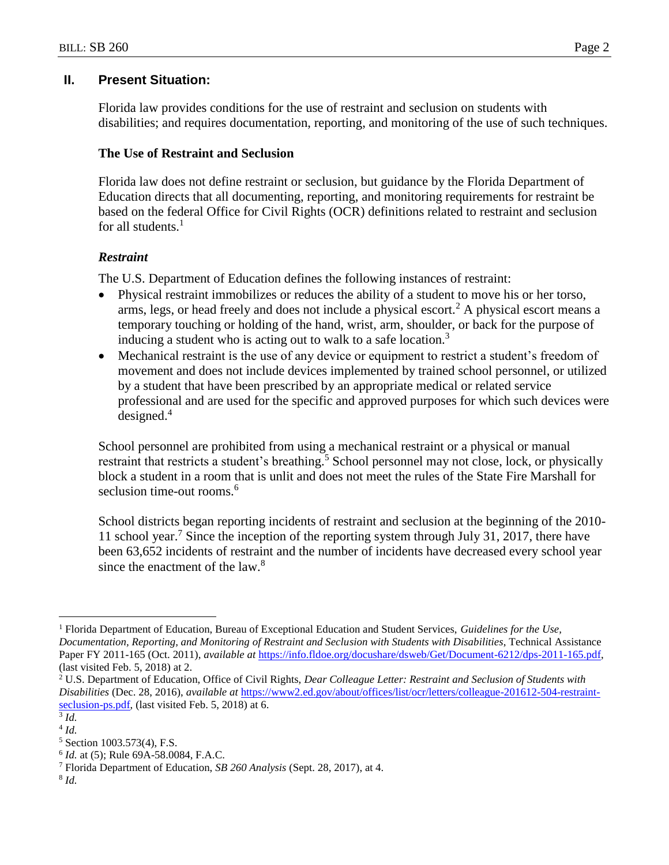# **II. Present Situation:**

Florida law provides conditions for the use of restraint and seclusion on students with disabilities; and requires documentation, reporting, and monitoring of the use of such techniques.

# **The Use of Restraint and Seclusion**

Florida law does not define restraint or seclusion, but guidance by the Florida Department of Education directs that all documenting, reporting, and monitoring requirements for restraint be based on the federal Office for Civil Rights (OCR) definitions related to restraint and seclusion for all students. $<sup>1</sup>$ </sup>

# *Restraint*

The U.S. Department of Education defines the following instances of restraint:

- Physical restraint immobilizes or reduces the ability of a student to move his or her torso, arms, legs, or head freely and does not include a physical escort.<sup>2</sup> A physical escort means a temporary touching or holding of the hand, wrist, arm, shoulder, or back for the purpose of inducing a student who is acting out to walk to a safe location.<sup>3</sup>
- Mechanical restraint is the use of any device or equipment to restrict a student's freedom of movement and does not include devices implemented by trained school personnel, or utilized by a student that have been prescribed by an appropriate medical or related service professional and are used for the specific and approved purposes for which such devices were designed.<sup>4</sup>

School personnel are prohibited from using a mechanical restraint or a physical or manual restraint that restricts a student's breathing.<sup>5</sup> School personnel may not close, lock, or physically block a student in a room that is unlit and does not meet the rules of the State Fire Marshall for seclusion time-out rooms.<sup>6</sup>

School districts began reporting incidents of restraint and seclusion at the beginning of the 2010- 11 school year.<sup>7</sup> Since the inception of the reporting system through July 31, 2017, there have been 63,652 incidents of restraint and the number of incidents have decreased every school year since the enactment of the  $law<sup>8</sup>$ 

 $\overline{a}$ 

8 *Id.*

<sup>1</sup> Florida Department of Education, Bureau of Exceptional Education and Student Services, *Guidelines for the Use, Documentation, Reporting, and Monitoring of Restraint and Seclusion with Students with Disabilities*, Technical Assistance Paper FY 2011-165 (Oct. 2011), *available at* [https://info.fldoe.org/docushare/dsweb/Get/Document-6212/dps-2011-165.pdf,](https://info.fldoe.org/docushare/dsweb/Get/Document-6212/dps-2011-165.pdf) (last visited Feb. 5, 2018) at 2.

<sup>2</sup> U.S. Department of Education, Office of Civil Rights, *Dear Colleague Letter: Restraint and Seclusion of Students with Disabilities* (Dec. 28, 2016), *available at* [https://www2.ed.gov/about/offices/list/ocr/letters/colleague-201612-504-restraint](https://www2.ed.gov/about/offices/list/ocr/letters/colleague-201612-504-restraint-seclusion-ps.pdf)[seclusion-ps.pdf,](https://www2.ed.gov/about/offices/list/ocr/letters/colleague-201612-504-restraint-seclusion-ps.pdf) (last visited Feb. 5, 2018) at 6.

<sup>3</sup> *Id.*

<sup>4</sup> *Id.*

<sup>5</sup> Section 1003.573(4), F.S.

<sup>6</sup> *Id.* at (5); Rule 69A-58.0084, F.A.C.

<sup>7</sup> Florida Department of Education, *SB 260 Analysis* (Sept. 28, 2017), at 4.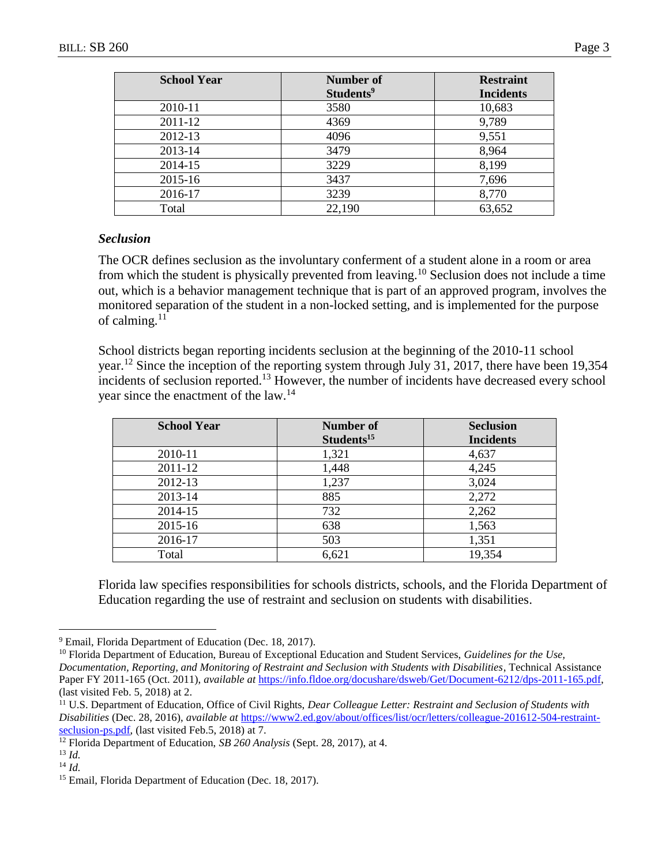| <b>School Year</b> | Number of             | <b>Restraint</b> |
|--------------------|-----------------------|------------------|
|                    | Students <sup>9</sup> | <b>Incidents</b> |
| 2010-11            | 3580                  | 10,683           |
| 2011-12            | 4369                  | 9,789            |
| 2012-13            | 4096                  | 9,551            |
| 2013-14            | 3479                  | 8,964            |
| 2014-15            | 3229                  | 8,199            |
| 2015-16            | 3437                  | 7,696            |
| 2016-17            | 3239                  | 8,770            |
| Total              | 22,190                | 63,652           |

#### *Seclusion*

The OCR defines seclusion as the involuntary conferment of a student alone in a room or area from which the student is physically prevented from leaving.<sup>10</sup> Seclusion does not include a time out, which is a behavior management technique that is part of an approved program, involves the monitored separation of the student in a non-locked setting, and is implemented for the purpose of calming. $11$ 

School districts began reporting incidents seclusion at the beginning of the 2010-11 school year.<sup>12</sup> Since the inception of the reporting system through July 31, 2017, there have been 19,354 incidents of seclusion reported.<sup>13</sup> However, the number of incidents have decreased every school year since the enactment of the law.<sup>14</sup>

| <b>School Year</b> | <b>Number of</b>       | <b>Seclusion</b> |
|--------------------|------------------------|------------------|
|                    | Students <sup>15</sup> | <b>Incidents</b> |
| 2010-11            | 1,321                  | 4,637            |
| 2011-12            | 1,448                  | 4,245            |
| 2012-13            | 1,237                  | 3,024            |
| 2013-14            | 885                    | 2,272            |
| 2014-15            | 732                    | 2,262            |
| 2015-16            | 638                    | 1,563            |
| 2016-17            | 503                    | 1,351            |
| Total              | 6,621                  | 19,354           |

Florida law specifies responsibilities for schools districts, schools, and the Florida Department of Education regarding the use of restraint and seclusion on students with disabilities.

<sup>&</sup>lt;sup>9</sup> Email, Florida Department of Education (Dec. 18, 2017).

<sup>&</sup>lt;sup>10</sup> Florida Department of Education, Bureau of Exceptional Education and Student Services, *Guidelines for the Use*, *Documentation, Reporting, and Monitoring of Restraint and Seclusion with Students with Disabilities*, Technical Assistance Paper FY 2011-165 (Oct. 2011), *available at* [https://info.fldoe.org/docushare/dsweb/Get/Document-6212/dps-2011-165.pdf,](https://info.fldoe.org/docushare/dsweb/Get/Document-6212/dps-2011-165.pdf) (last visited Feb. 5, 2018) at 2.

<sup>11</sup> U.S. Department of Education, Office of Civil Rights, *Dear Colleague Letter: Restraint and Seclusion of Students with Disabilities* (Dec. 28, 2016), *available at* [https://www2.ed.gov/about/offices/list/ocr/letters/colleague-201612-504-restraint](https://www2.ed.gov/about/offices/list/ocr/letters/colleague-201612-504-restraint-seclusion-ps.pdf)[seclusion-ps.pdf,](https://www2.ed.gov/about/offices/list/ocr/letters/colleague-201612-504-restraint-seclusion-ps.pdf) (last visited Feb.5, 2018) at 7.

<sup>12</sup> Florida Department of Education, *SB 260 Analysis* (Sept. 28, 2017), at 4.

<sup>13</sup> *Id.*

<sup>14</sup> *Id.*

<sup>&</sup>lt;sup>15</sup> Email, Florida Department of Education (Dec. 18, 2017).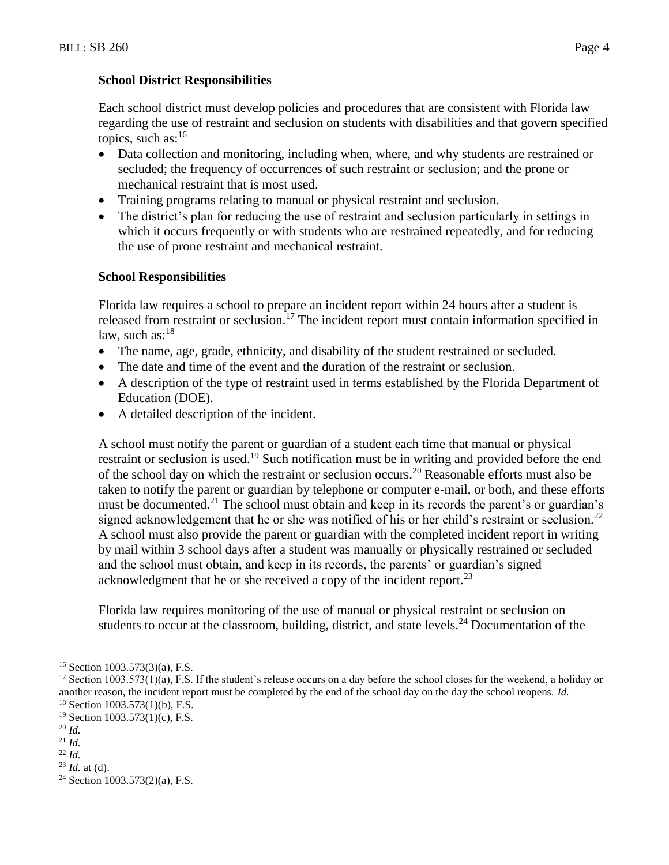#### **School District Responsibilities**

Each school district must develop policies and procedures that are consistent with Florida law regarding the use of restraint and seclusion on students with disabilities and that govern specified topics, such as: $16$ 

- Data collection and monitoring, including when, where, and why students are restrained or secluded; the frequency of occurrences of such restraint or seclusion; and the prone or mechanical restraint that is most used.
- Training programs relating to manual or physical restraint and seclusion.
- The district's plan for reducing the use of restraint and seclusion particularly in settings in which it occurs frequently or with students who are restrained repeatedly, and for reducing the use of prone restraint and mechanical restraint.

### **School Responsibilities**

Florida law requires a school to prepare an incident report within 24 hours after a student is released from restraint or seclusion.<sup>17</sup> The incident report must contain information specified in law, such as:<sup>18</sup>

- The name, age, grade, ethnicity, and disability of the student restrained or secluded.
- The date and time of the event and the duration of the restraint or seclusion.
- A description of the type of restraint used in terms established by the Florida Department of Education (DOE).
- A detailed description of the incident.

A school must notify the parent or guardian of a student each time that manual or physical restraint or seclusion is used.<sup>19</sup> Such notification must be in writing and provided before the end of the school day on which the restraint or seclusion occurs.<sup>20</sup> Reasonable efforts must also be taken to notify the parent or guardian by telephone or computer e-mail, or both, and these efforts must be documented.<sup>21</sup> The school must obtain and keep in its records the parent's or guardian's signed acknowledgement that he or she was notified of his or her child's restraint or seclusion.<sup>22</sup> A school must also provide the parent or guardian with the completed incident report in writing by mail within 3 school days after a student was manually or physically restrained or secluded and the school must obtain, and keep in its records, the parents' or guardian's signed acknowledgment that he or she received a copy of the incident report.<sup>23</sup>

Florida law requires monitoring of the use of manual or physical restraint or seclusion on students to occur at the classroom, building, district, and state levels.<sup>24</sup> Documentation of the

<sup>16</sup> Section 1003.573(3)(a), F.S.

 $17$  Section 1003.573(1)(a), F.S. If the student's release occurs on a day before the school closes for the weekend, a holiday or another reason, the incident report must be completed by the end of the school day on the day the school reopens. *Id.*

 $18$  Section 1003.573(1)(b), F.S.

 $19$  Section 1003.573(1)(c), F.S.

<sup>20</sup> *Id.*

<sup>21</sup> *Id.* <sup>22</sup> *Id.*

<sup>23</sup> *Id.* at (d).

 $24$  Section 1003.573(2)(a), F.S.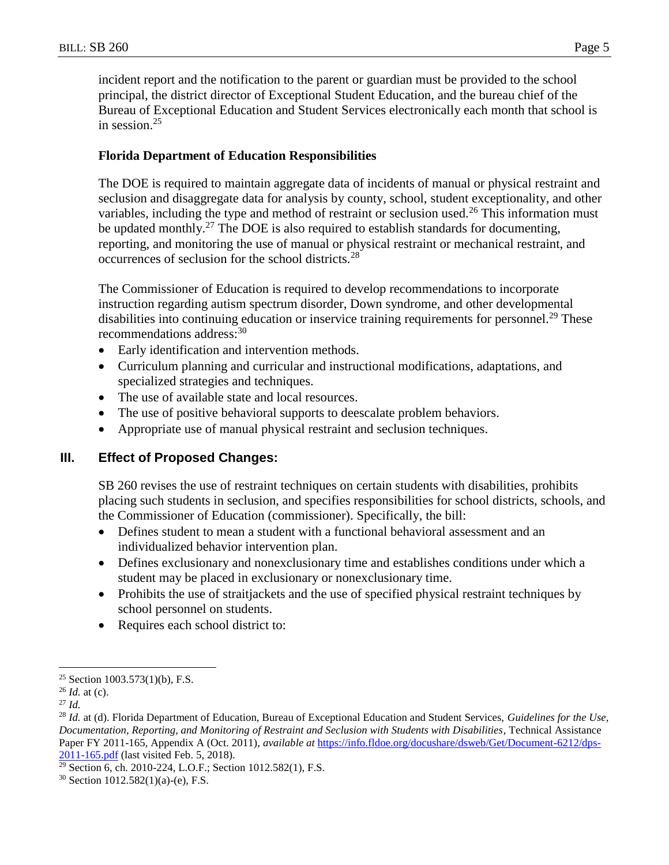incident report and the notification to the parent or guardian must be provided to the school principal, the district director of Exceptional Student Education, and the bureau chief of the Bureau of Exceptional Education and Student Services electronically each month that school is in session.<sup>25</sup>

### **Florida Department of Education Responsibilities**

The DOE is required to maintain aggregate data of incidents of manual or physical restraint and seclusion and disaggregate data for analysis by county, school, student exceptionality, and other variables, including the type and method of restraint or seclusion used.<sup>26</sup> This information must be updated monthly.<sup>27</sup> The DOE is also required to establish standards for documenting, reporting, and monitoring the use of manual or physical restraint or mechanical restraint, and occurrences of seclusion for the school districts.<sup>28</sup>

The Commissioner of Education is required to develop recommendations to incorporate instruction regarding autism spectrum disorder, Down syndrome, and other developmental disabilities into continuing education or inservice training requirements for personnel.<sup>29</sup> These recommendations address:<sup>30</sup>

- Early identification and intervention methods.
- Curriculum planning and curricular and instructional modifications, adaptations, and specialized strategies and techniques.
- The use of available state and local resources.
- The use of positive behavioral supports to deescalate problem behaviors.
- Appropriate use of manual physical restraint and seclusion techniques.

## **III. Effect of Proposed Changes:**

SB 260 revises the use of restraint techniques on certain students with disabilities, prohibits placing such students in seclusion, and specifies responsibilities for school districts, schools, and the Commissioner of Education (commissioner). Specifically, the bill:

- Defines student to mean a student with a functional behavioral assessment and an individualized behavior intervention plan.
- Defines exclusionary and nonexclusionary time and establishes conditions under which a student may be placed in exclusionary or nonexclusionary time.
- Prohibits the use of straitjackets and the use of specified physical restraint techniques by school personnel on students.
- Requires each school district to:

<sup>&</sup>lt;sup>25</sup> Section 1003.573(1)(b), F.S.

<sup>26</sup> *Id.* at (c).

<sup>27</sup> *Id.*

<sup>28</sup> *Id.* at (d). Florida Department of Education, Bureau of Exceptional Education and Student Services, *Guidelines for the Use, Documentation, Reporting, and Monitoring of Restraint and Seclusion with Students with Disabilities*, Technical Assistance Paper FY 2011-165, Appendix A (Oct. 2011), *available at* [https://info.fldoe.org/docushare/dsweb/Get/Document-6212/dps-](https://info.fldoe.org/docushare/dsweb/Get/Document-6212/dps-2011-165.pdf)[2011-165.pdf](https://info.fldoe.org/docushare/dsweb/Get/Document-6212/dps-2011-165.pdf) (last visited Feb. 5, 2018).

<sup>29</sup> Section 6, ch. 2010-224, L.O.F.; Section 1012.582(1), F.S.

<sup>30</sup> Section 1012.582(1)(a)-(e), F.S.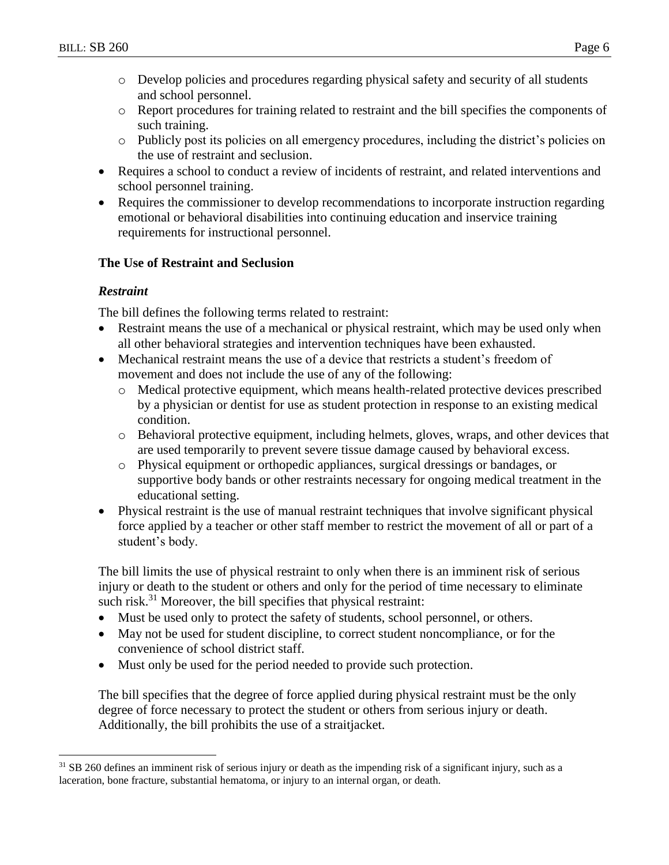- o Develop policies and procedures regarding physical safety and security of all students and school personnel.
- o Report procedures for training related to restraint and the bill specifies the components of such training.
- o Publicly post its policies on all emergency procedures, including the district's policies on the use of restraint and seclusion.
- Requires a school to conduct a review of incidents of restraint, and related interventions and school personnel training.
- Requires the commissioner to develop recommendations to incorporate instruction regarding emotional or behavioral disabilities into continuing education and inservice training requirements for instructional personnel.

### **The Use of Restraint and Seclusion**

### *Restraint*

 $\overline{a}$ 

The bill defines the following terms related to restraint:

- Restraint means the use of a mechanical or physical restraint, which may be used only when all other behavioral strategies and intervention techniques have been exhausted.
- Mechanical restraint means the use of a device that restricts a student's freedom of movement and does not include the use of any of the following:
	- o Medical protective equipment, which means health-related protective devices prescribed by a physician or dentist for use as student protection in response to an existing medical condition.
	- o Behavioral protective equipment, including helmets, gloves, wraps, and other devices that are used temporarily to prevent severe tissue damage caused by behavioral excess.
	- o Physical equipment or orthopedic appliances, surgical dressings or bandages, or supportive body bands or other restraints necessary for ongoing medical treatment in the educational setting.
- Physical restraint is the use of manual restraint techniques that involve significant physical force applied by a teacher or other staff member to restrict the movement of all or part of a student's body.

The bill limits the use of physical restraint to only when there is an imminent risk of serious injury or death to the student or others and only for the period of time necessary to eliminate such risk.<sup>31</sup> Moreover, the bill specifies that physical restraint:

- Must be used only to protect the safety of students, school personnel, or others.
- May not be used for student discipline, to correct student noncompliance, or for the convenience of school district staff.
- Must only be used for the period needed to provide such protection.

The bill specifies that the degree of force applied during physical restraint must be the only degree of force necessary to protect the student or others from serious injury or death. Additionally, the bill prohibits the use of a straitjacket.

<sup>&</sup>lt;sup>31</sup> SB 260 defines an imminent risk of serious injury or death as the impending risk of a significant injury, such as a laceration, bone fracture, substantial hematoma, or injury to an internal organ, or death.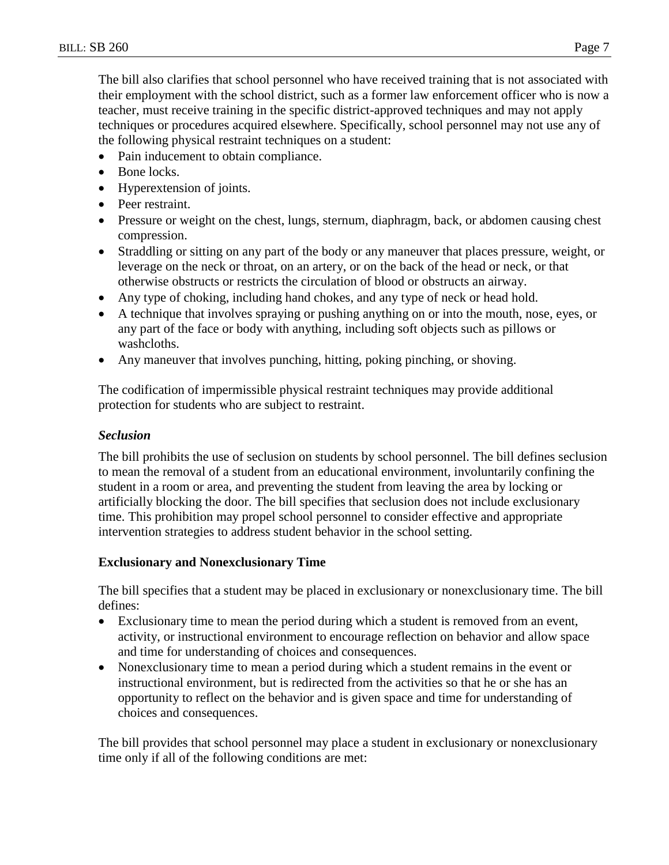The bill also clarifies that school personnel who have received training that is not associated with their employment with the school district, such as a former law enforcement officer who is now a teacher, must receive training in the specific district-approved techniques and may not apply techniques or procedures acquired elsewhere. Specifically, school personnel may not use any of the following physical restraint techniques on a student:

- Pain inducement to obtain compliance.
- Bone locks.
- Hyperextension of joints.
- Peer restraint.
- Pressure or weight on the chest, lungs, sternum, diaphragm, back, or abdomen causing chest compression.
- Straddling or sitting on any part of the body or any maneuver that places pressure, weight, or leverage on the neck or throat, on an artery, or on the back of the head or neck, or that otherwise obstructs or restricts the circulation of blood or obstructs an airway.
- Any type of choking, including hand chokes, and any type of neck or head hold.
- A technique that involves spraying or pushing anything on or into the mouth, nose, eyes, or any part of the face or body with anything, including soft objects such as pillows or washcloths.
- Any maneuver that involves punching, hitting, poking pinching, or shoving.

The codification of impermissible physical restraint techniques may provide additional protection for students who are subject to restraint.

#### *Seclusion*

The bill prohibits the use of seclusion on students by school personnel. The bill defines seclusion to mean the removal of a student from an educational environment, involuntarily confining the student in a room or area, and preventing the student from leaving the area by locking or artificially blocking the door. The bill specifies that seclusion does not include exclusionary time. This prohibition may propel school personnel to consider effective and appropriate intervention strategies to address student behavior in the school setting.

### **Exclusionary and Nonexclusionary Time**

The bill specifies that a student may be placed in exclusionary or nonexclusionary time. The bill defines:

- Exclusionary time to mean the period during which a student is removed from an event, activity, or instructional environment to encourage reflection on behavior and allow space and time for understanding of choices and consequences.
- Nonexclusionary time to mean a period during which a student remains in the event or instructional environment, but is redirected from the activities so that he or she has an opportunity to reflect on the behavior and is given space and time for understanding of choices and consequences.

The bill provides that school personnel may place a student in exclusionary or nonexclusionary time only if all of the following conditions are met: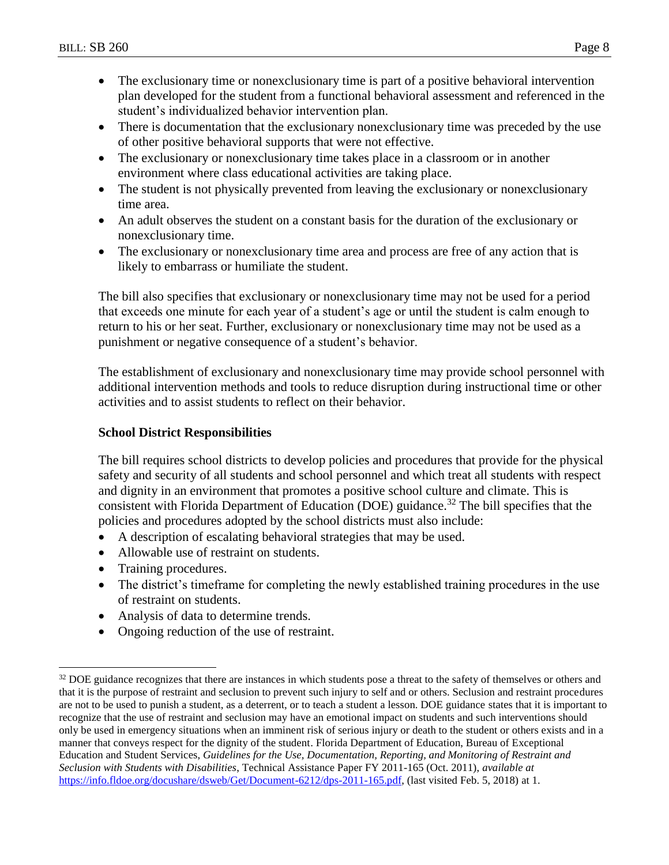- The exclusionary time or nonexclusionary time is part of a positive behavioral intervention plan developed for the student from a functional behavioral assessment and referenced in the student's individualized behavior intervention plan.
- There is documentation that the exclusionary nonexclusionary time was preceded by the use of other positive behavioral supports that were not effective.
- The exclusionary or nonexclusionary time takes place in a classroom or in another environment where class educational activities are taking place.
- The student is not physically prevented from leaving the exclusionary or nonexclusionary time area.
- An adult observes the student on a constant basis for the duration of the exclusionary or nonexclusionary time.
- The exclusionary or nonexclusionary time area and process are free of any action that is likely to embarrass or humiliate the student.

The bill also specifies that exclusionary or nonexclusionary time may not be used for a period that exceeds one minute for each year of a student's age or until the student is calm enough to return to his or her seat. Further, exclusionary or nonexclusionary time may not be used as a punishment or negative consequence of a student's behavior.

The establishment of exclusionary and nonexclusionary time may provide school personnel with additional intervention methods and tools to reduce disruption during instructional time or other activities and to assist students to reflect on their behavior.

# **School District Responsibilities**

The bill requires school districts to develop policies and procedures that provide for the physical safety and security of all students and school personnel and which treat all students with respect and dignity in an environment that promotes a positive school culture and climate. This is consistent with Florida Department of Education (DOE) guidance.<sup>32</sup> The bill specifies that the policies and procedures adopted by the school districts must also include:

- A description of escalating behavioral strategies that may be used.
- Allowable use of restraint on students.
- Training procedures.

- The district's timeframe for completing the newly established training procedures in the use of restraint on students.
- Analysis of data to determine trends.
- Ongoing reduction of the use of restraint.

<sup>&</sup>lt;sup>32</sup> DOE guidance recognizes that there are instances in which students pose a threat to the safety of themselves or others and that it is the purpose of restraint and seclusion to prevent such injury to self and or others. Seclusion and restraint procedures are not to be used to punish a student, as a deterrent, or to teach a student a lesson. DOE guidance states that it is important to recognize that the use of restraint and seclusion may have an emotional impact on students and such interventions should only be used in emergency situations when an imminent risk of serious injury or death to the student or others exists and in a manner that conveys respect for the dignity of the student. Florida Department of Education, Bureau of Exceptional Education and Student Services, *Guidelines for the Use, Documentation, Reporting, and Monitoring of Restraint and Seclusion with Students with Disabilities*, Technical Assistance Paper FY 2011-165 (Oct. 2011), *available at* [https://info.fldoe.org/docushare/dsweb/Get/Document-6212/dps-2011-165.pdf,](https://info.fldoe.org/docushare/dsweb/Get/Document-6212/dps-2011-165.pdf) (last visited Feb. 5, 2018) at 1.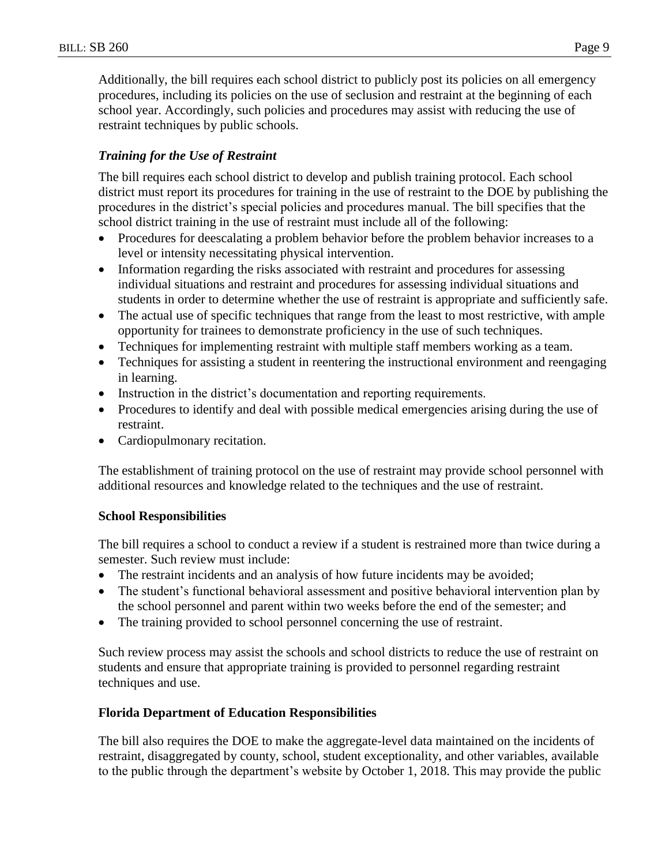Additionally, the bill requires each school district to publicly post its policies on all emergency procedures, including its policies on the use of seclusion and restraint at the beginning of each school year. Accordingly, such policies and procedures may assist with reducing the use of restraint techniques by public schools.

## *Training for the Use of Restraint*

The bill requires each school district to develop and publish training protocol. Each school district must report its procedures for training in the use of restraint to the DOE by publishing the procedures in the district's special policies and procedures manual. The bill specifies that the school district training in the use of restraint must include all of the following:

- Procedures for deescalating a problem behavior before the problem behavior increases to a level or intensity necessitating physical intervention.
- Information regarding the risks associated with restraint and procedures for assessing individual situations and restraint and procedures for assessing individual situations and students in order to determine whether the use of restraint is appropriate and sufficiently safe.
- The actual use of specific techniques that range from the least to most restrictive, with ample opportunity for trainees to demonstrate proficiency in the use of such techniques.
- Techniques for implementing restraint with multiple staff members working as a team.
- Techniques for assisting a student in reentering the instructional environment and reengaging in learning.
- Instruction in the district's documentation and reporting requirements.
- Procedures to identify and deal with possible medical emergencies arising during the use of restraint.
- Cardiopulmonary recitation.

The establishment of training protocol on the use of restraint may provide school personnel with additional resources and knowledge related to the techniques and the use of restraint.

### **School Responsibilities**

The bill requires a school to conduct a review if a student is restrained more than twice during a semester. Such review must include:

- The restraint incidents and an analysis of how future incidents may be avoided;
- The student's functional behavioral assessment and positive behavioral intervention plan by the school personnel and parent within two weeks before the end of the semester; and
- The training provided to school personnel concerning the use of restraint.

Such review process may assist the schools and school districts to reduce the use of restraint on students and ensure that appropriate training is provided to personnel regarding restraint techniques and use.

### **Florida Department of Education Responsibilities**

The bill also requires the DOE to make the aggregate-level data maintained on the incidents of restraint, disaggregated by county, school, student exceptionality, and other variables, available to the public through the department's website by October 1, 2018. This may provide the public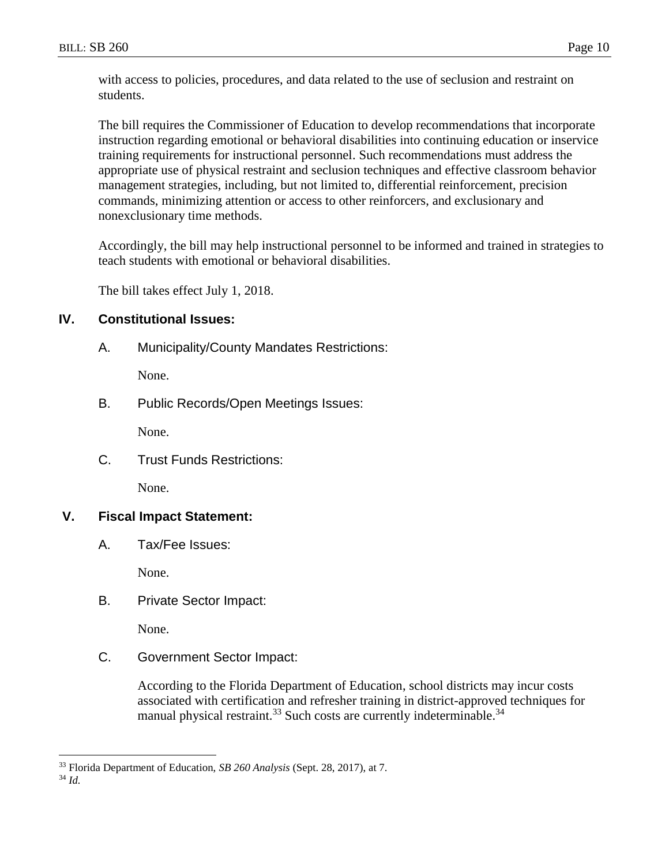with access to policies, procedures, and data related to the use of seclusion and restraint on students.

The bill requires the Commissioner of Education to develop recommendations that incorporate instruction regarding emotional or behavioral disabilities into continuing education or inservice training requirements for instructional personnel. Such recommendations must address the appropriate use of physical restraint and seclusion techniques and effective classroom behavior management strategies, including, but not limited to, differential reinforcement, precision commands, minimizing attention or access to other reinforcers, and exclusionary and nonexclusionary time methods.

Accordingly, the bill may help instructional personnel to be informed and trained in strategies to teach students with emotional or behavioral disabilities.

The bill takes effect July 1, 2018.

### **IV. Constitutional Issues:**

A. Municipality/County Mandates Restrictions:

None.

B. Public Records/Open Meetings Issues:

None.

C. Trust Funds Restrictions:

None.

### **V. Fiscal Impact Statement:**

A. Tax/Fee Issues:

None.

B. Private Sector Impact:

None.

C. Government Sector Impact:

According to the Florida Department of Education, school districts may incur costs associated with certification and refresher training in district-approved techniques for manual physical restraint.<sup>33</sup> Such costs are currently indeterminable.<sup>34</sup>

<sup>33</sup> Florida Department of Education, *SB 260 Analysis* (Sept. 28, 2017), at 7.

<sup>34</sup> *Id.*